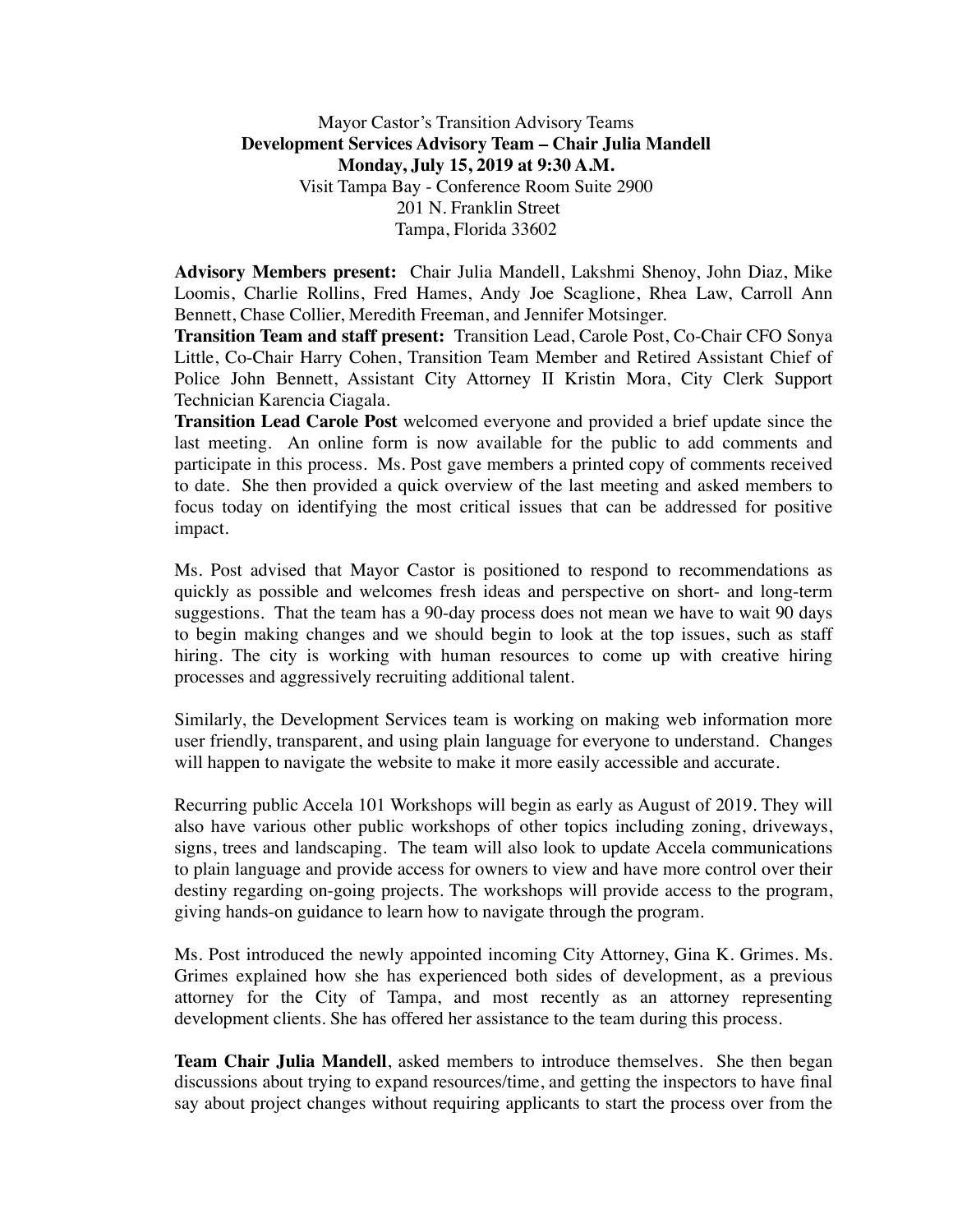Mayor Castor's Transition Advisory Teams **Development Services Advisory Team – Chair Julia Mandell Monday, July 15, 2019 at 9:30 A.M.** Visit Tampa Bay - Conference Room Suite 2900 201 N. Franklin Street Tampa, Florida 33602

**Advisory Members present:** Chair Julia Mandell, Lakshmi Shenoy, John Diaz, Mike Loomis, Charlie Rollins, Fred Hames, Andy Joe Scaglione, Rhea Law, Carroll Ann Bennett, Chase Collier, Meredith Freeman, and Jennifer Motsinger.

**Transition Team and staff present:** Transition Lead, Carole Post, Co-Chair CFO Sonya Little, Co-Chair Harry Cohen, Transition Team Member and Retired Assistant Chief of Police John Bennett, Assistant City Attorney II Kristin Mora, City Clerk Support Technician Karencia Ciagala.

**Transition Lead Carole Post** welcomed everyone and provided a brief update since the last meeting. An online form is now available for the public to add comments and participate in this process. Ms. Post gave members a printed copy of comments received to date. She then provided a quick overview of the last meeting and asked members to focus today on identifying the most critical issues that can be addressed for positive impact.

Ms. Post advised that Mayor Castor is positioned to respond to recommendations as quickly as possible and welcomes fresh ideas and perspective on short- and long-term suggestions. That the team has a 90-day process does not mean we have to wait 90 days to begin making changes and we should begin to look at the top issues, such as staff hiring. The city is working with human resources to come up with creative hiring processes and aggressively recruiting additional talent.

Similarly, the Development Services team is working on making web information more user friendly, transparent, and using plain language for everyone to understand. Changes will happen to navigate the website to make it more easily accessible and accurate.

Recurring public Accela 101 Workshops will begin as early as August of 2019. They will also have various other public workshops of other topics including zoning, driveways, signs, trees and landscaping. The team will also look to update Accela communications to plain language and provide access for owners to view and have more control over their destiny regarding on-going projects. The workshops will provide access to the program, giving hands-on guidance to learn how to navigate through the program.

Ms. Post introduced the newly appointed incoming City Attorney, Gina K. Grimes. Ms. Grimes explained how she has experienced both sides of development, as a previous attorney for the City of Tampa, and most recently as an attorney representing development clients. She has offered her assistance to the team during this process.

**Team Chair Julia Mandell**, asked members to introduce themselves. She then began discussions about trying to expand resources/time, and getting the inspectors to have final say about project changes without requiring applicants to start the process over from the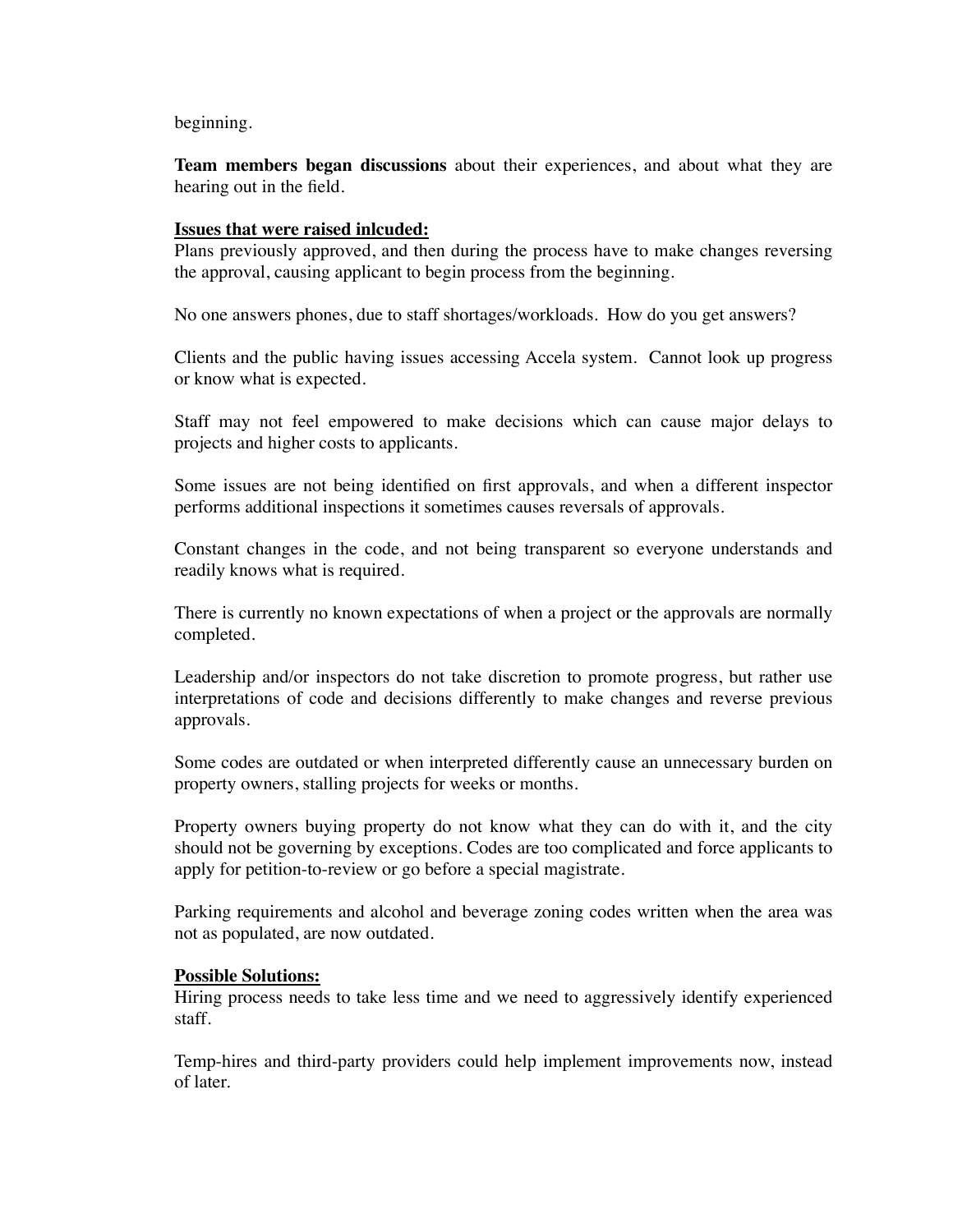beginning.

**Team members began discussions** about their experiences, and about what they are hearing out in the field.

## **Issues that were raised inlcuded:**

Plans previously approved, and then during the process have to make changes reversing the approval, causing applicant to begin process from the beginning.

No one answers phones, due to staff shortages/workloads. How do you get answers?

Clients and the public having issues accessing Accela system. Cannot look up progress or know what is expected.

Staff may not feel empowered to make decisions which can cause major delays to projects and higher costs to applicants.

Some issues are not being identified on first approvals, and when a different inspector performs additional inspections it sometimes causes reversals of approvals.

Constant changes in the code, and not being transparent so everyone understands and readily knows what is required.

There is currently no known expectations of when a project or the approvals are normally completed.

Leadership and/or inspectors do not take discretion to promote progress, but rather use interpretations of code and decisions differently to make changes and reverse previous approvals.

Some codes are outdated or when interpreted differently cause an unnecessary burden on property owners, stalling projects for weeks or months.

Property owners buying property do not know what they can do with it, and the city should not be governing by exceptions. Codes are too complicated and force applicants to apply for petition-to-review or go before a special magistrate.

Parking requirements and alcohol and beverage zoning codes written when the area was not as populated, are now outdated.

## **Possible Solutions:**

Hiring process needs to take less time and we need to aggressively identify experienced staff.

Temp-hires and third-party providers could help implement improvements now, instead of later.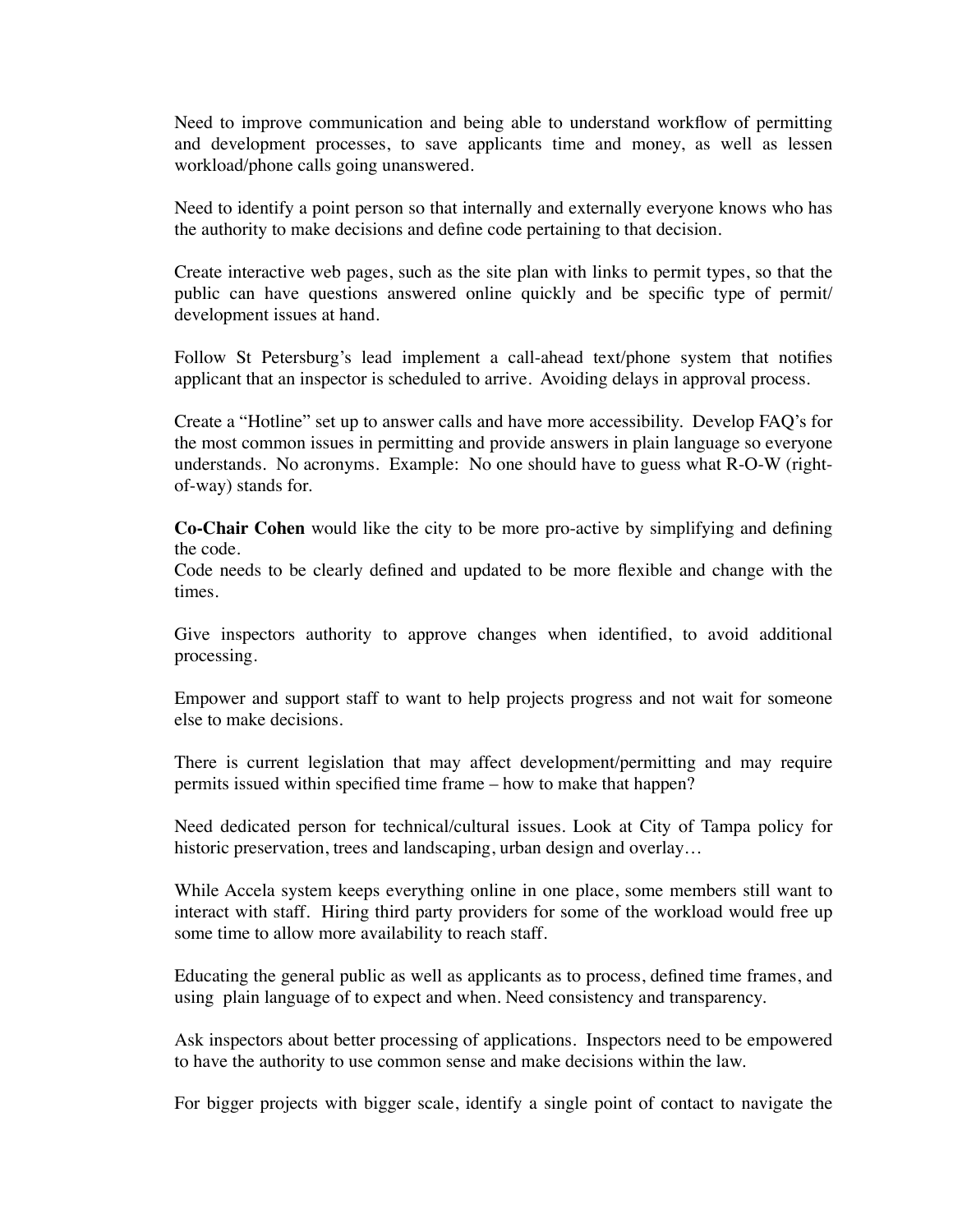Need to improve communication and being able to understand workflow of permitting and development processes, to save applicants time and money, as well as lessen workload/phone calls going unanswered.

Need to identify a point person so that internally and externally everyone knows who has the authority to make decisions and define code pertaining to that decision.

Create interactive web pages, such as the site plan with links to permit types, so that the public can have questions answered online quickly and be specific type of permit/ development issues at hand.

Follow St Petersburg's lead implement a call-ahead text/phone system that notifies applicant that an inspector is scheduled to arrive. Avoiding delays in approval process.

Create a "Hotline" set up to answer calls and have more accessibility. Develop FAQ's for the most common issues in permitting and provide answers in plain language so everyone understands. No acronyms. Example: No one should have to guess what R-O-W (rightof-way) stands for.

**Co-Chair Cohen** would like the city to be more pro-active by simplifying and defining the code.

Code needs to be clearly defined and updated to be more flexible and change with the times.

Give inspectors authority to approve changes when identified, to avoid additional processing.

Empower and support staff to want to help projects progress and not wait for someone else to make decisions.

There is current legislation that may affect development/permitting and may require permits issued within specified time frame – how to make that happen?

Need dedicated person for technical/cultural issues. Look at City of Tampa policy for historic preservation, trees and landscaping, urban design and overlay...

While Accela system keeps everything online in one place, some members still want to interact with staff. Hiring third party providers for some of the workload would free up some time to allow more availability to reach staff.

Educating the general public as well as applicants as to process, defined time frames, and using plain language of to expect and when. Need consistency and transparency.

Ask inspectors about better processing of applications. Inspectors need to be empowered to have the authority to use common sense and make decisions within the law.

For bigger projects with bigger scale, identify a single point of contact to navigate the